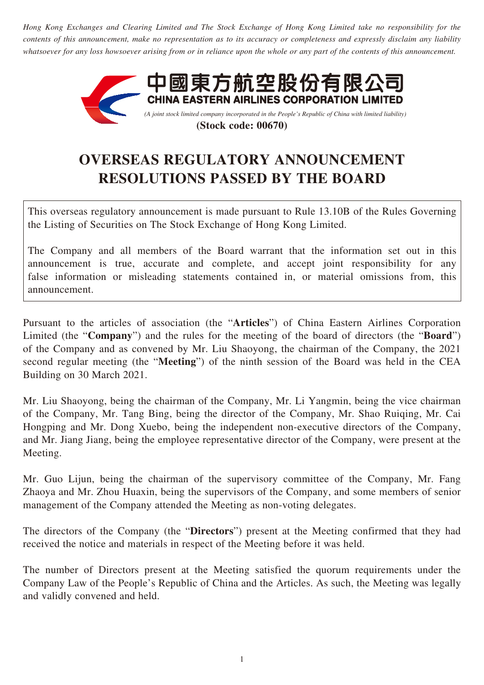*Hong Kong Exchanges and Clearing Limited and The Stock Exchange of Hong Kong Limited take no responsibility for the contents of this announcement, make no representation as to its accuracy or completeness and expressly disclaim any liability whatsoever for any loss howsoever arising from or in reliance upon the whole or any part of the contents of this announcement.*



**(Stock code: 00670)**

# **OVERSEAS REGULATORY ANNOUNCEMENT RESOLUTIONS PASSED BY THE BOARD**

This overseas regulatory announcement is made pursuant to Rule 13.10B of the Rules Governing the Listing of Securities on The Stock Exchange of Hong Kong Limited.

The Company and all members of the Board warrant that the information set out in this announcement is true, accurate and complete, and accept joint responsibility for any false information or misleading statements contained in, or material omissions from, this announcement.

Pursuant to the articles of association (the "**Articles**") of China Eastern Airlines Corporation Limited (the "**Company**") and the rules for the meeting of the board of directors (the "**Board**") of the Company and as convened by Mr. Liu Shaoyong, the chairman of the Company, the 2021 second regular meeting (the "**Meeting**") of the ninth session of the Board was held in the CEA Building on 30 March 2021.

Mr. Liu Shaoyong, being the chairman of the Company, Mr. Li Yangmin, being the vice chairman of the Company, Mr. Tang Bing, being the director of the Company, Mr. Shao Ruiqing, Mr. Cai Hongping and Mr. Dong Xuebo, being the independent non-executive directors of the Company, and Mr. Jiang Jiang, being the employee representative director of the Company, were present at the Meeting.

Mr. Guo Lijun, being the chairman of the supervisory committee of the Company, Mr. Fang Zhaoya and Mr. Zhou Huaxin, being the supervisors of the Company, and some members of senior management of the Company attended the Meeting as non-voting delegates.

The directors of the Company (the "**Directors**") present at the Meeting confirmed that they had received the notice and materials in respect of the Meeting before it was held.

The number of Directors present at the Meeting satisfied the quorum requirements under the Company Law of the People's Republic of China and the Articles. As such, the Meeting was legally and validly convened and held.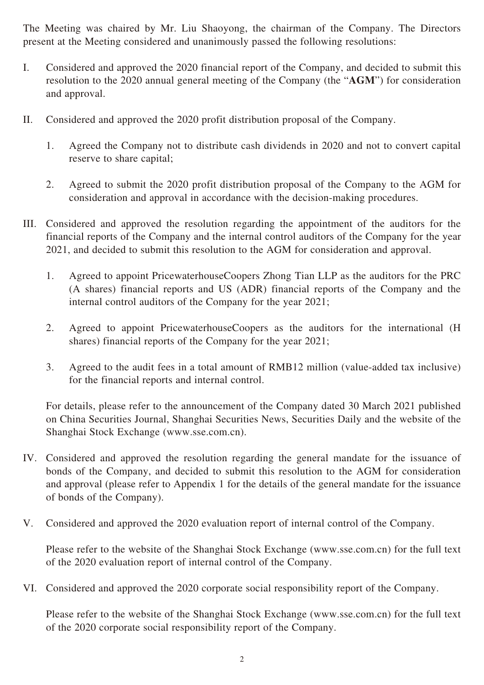The Meeting was chaired by Mr. Liu Shaoyong, the chairman of the Company. The Directors present at the Meeting considered and unanimously passed the following resolutions:

- I. Considered and approved the 2020 financial report of the Company, and decided to submit this resolution to the 2020 annual general meeting of the Company (the "**AGM**") for consideration and approval.
- II. Considered and approved the 2020 profit distribution proposal of the Company.
	- 1. Agreed the Company not to distribute cash dividends in 2020 and not to convert capital reserve to share capital;
	- 2. Agreed to submit the 2020 profit distribution proposal of the Company to the AGM for consideration and approval in accordance with the decision-making procedures.
- III. Considered and approved the resolution regarding the appointment of the auditors for the financial reports of the Company and the internal control auditors of the Company for the year 2021, and decided to submit this resolution to the AGM for consideration and approval.
	- 1. Agreed to appoint PricewaterhouseCoopers Zhong Tian LLP as the auditors for the PRC (A shares) financial reports and US (ADR) financial reports of the Company and the internal control auditors of the Company for the year 2021;
	- 2. Agreed to appoint PricewaterhouseCoopers as the auditors for the international (H shares) financial reports of the Company for the year 2021;
	- 3. Agreed to the audit fees in a total amount of RMB12 million (value-added tax inclusive) for the financial reports and internal control.

For details, please refer to the announcement of the Company dated 30 March 2021 published on China Securities Journal, Shanghai Securities News, Securities Daily and the website of the Shanghai Stock Exchange (www.sse.com.cn).

- IV. Considered and approved the resolution regarding the general mandate for the issuance of bonds of the Company, and decided to submit this resolution to the AGM for consideration and approval (please refer to Appendix 1 for the details of the general mandate for the issuance of bonds of the Company).
- V. Considered and approved the 2020 evaluation report of internal control of the Company.

Please refer to the website of the Shanghai Stock Exchange (www.sse.com.cn) for the full text of the 2020 evaluation report of internal control of the Company.

VI. Considered and approved the 2020 corporate social responsibility report of the Company.

Please refer to the website of the Shanghai Stock Exchange (www.sse.com.cn) for the full text of the 2020 corporate social responsibility report of the Company.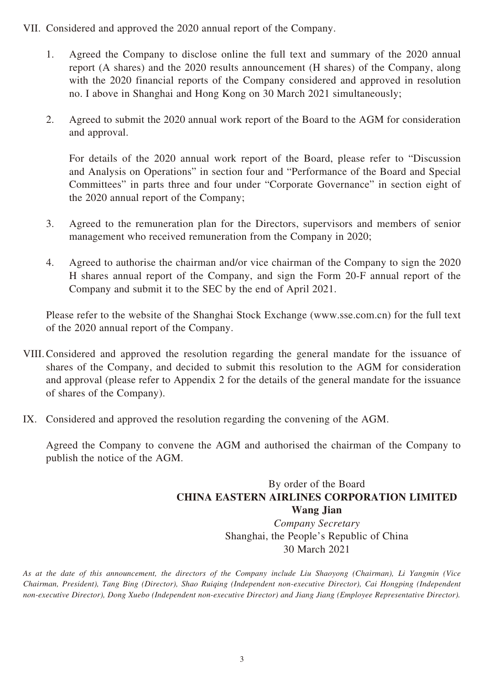- VII. Considered and approved the 2020 annual report of the Company.
	- 1. Agreed the Company to disclose online the full text and summary of the 2020 annual report (A shares) and the 2020 results announcement (H shares) of the Company, along with the 2020 financial reports of the Company considered and approved in resolution no. I above in Shanghai and Hong Kong on 30 March 2021 simultaneously;
	- 2. Agreed to submit the 2020 annual work report of the Board to the AGM for consideration and approval.

For details of the 2020 annual work report of the Board, please refer to "Discussion and Analysis on Operations" in section four and "Performance of the Board and Special Committees" in parts three and four under "Corporate Governance" in section eight of the 2020 annual report of the Company;

- 3. Agreed to the remuneration plan for the Directors, supervisors and members of senior management who received remuneration from the Company in 2020;
- 4. Agreed to authorise the chairman and/or vice chairman of the Company to sign the 2020 H shares annual report of the Company, and sign the Form 20-F annual report of the Company and submit it to the SEC by the end of April 2021.

Please refer to the website of the Shanghai Stock Exchange (www.sse.com.cn) for the full text of the 2020 annual report of the Company.

- VIII.Considered and approved the resolution regarding the general mandate for the issuance of shares of the Company, and decided to submit this resolution to the AGM for consideration and approval (please refer to Appendix 2 for the details of the general mandate for the issuance of shares of the Company).
- IX. Considered and approved the resolution regarding the convening of the AGM.

Agreed the Company to convene the AGM and authorised the chairman of the Company to publish the notice of the AGM.

### By order of the Board **CHINA EASTERN AIRLINES CORPORATION LIMITED Wang Jian** *Company Secretary* Shanghai, the People's Republic of China 30 March 2021

*As at the date of this announcement, the directors of the Company include Liu Shaoyong (Chairman), Li Yangmin (Vice Chairman, President), Tang Bing (Director), Shao Ruiqing (Independent non-executive Director), Cai Hongping (Independent non-executive Director), Dong Xuebo (Independent non-executive Director) and Jiang Jiang (Employee Representative Director).*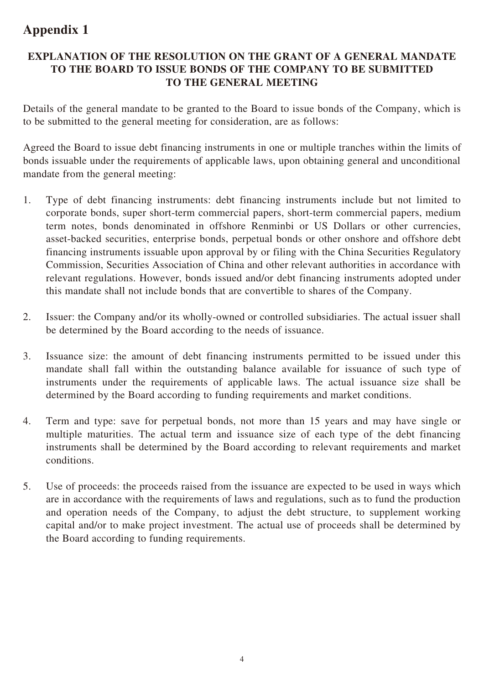## **Appendix 1**

#### **EXPLANATION OF THE RESOLUTION ON THE GRANT OF A GENERAL MANDATE TO THE BOARD TO ISSUE BONDS OF THE COMPANY TO BE SUBMITTED TO THE GENERAL MEETING**

Details of the general mandate to be granted to the Board to issue bonds of the Company, which is to be submitted to the general meeting for consideration, are as follows:

Agreed the Board to issue debt financing instruments in one or multiple tranches within the limits of bonds issuable under the requirements of applicable laws, upon obtaining general and unconditional mandate from the general meeting:

- 1. Type of debt financing instruments: debt financing instruments include but not limited to corporate bonds, super short-term commercial papers, short-term commercial papers, medium term notes, bonds denominated in offshore Renminbi or US Dollars or other currencies, asset-backed securities, enterprise bonds, perpetual bonds or other onshore and offshore debt financing instruments issuable upon approval by or filing with the China Securities Regulatory Commission, Securities Association of China and other relevant authorities in accordance with relevant regulations. However, bonds issued and/or debt financing instruments adopted under this mandate shall not include bonds that are convertible to shares of the Company.
- 2. Issuer: the Company and/or its wholly-owned or controlled subsidiaries. The actual issuer shall be determined by the Board according to the needs of issuance.
- 3. Issuance size: the amount of debt financing instruments permitted to be issued under this mandate shall fall within the outstanding balance available for issuance of such type of instruments under the requirements of applicable laws. The actual issuance size shall be determined by the Board according to funding requirements and market conditions.
- 4. Term and type: save for perpetual bonds, not more than 15 years and may have single or multiple maturities. The actual term and issuance size of each type of the debt financing instruments shall be determined by the Board according to relevant requirements and market conditions.
- 5. Use of proceeds: the proceeds raised from the issuance are expected to be used in ways which are in accordance with the requirements of laws and regulations, such as to fund the production and operation needs of the Company, to adjust the debt structure, to supplement working capital and/or to make project investment. The actual use of proceeds shall be determined by the Board according to funding requirements.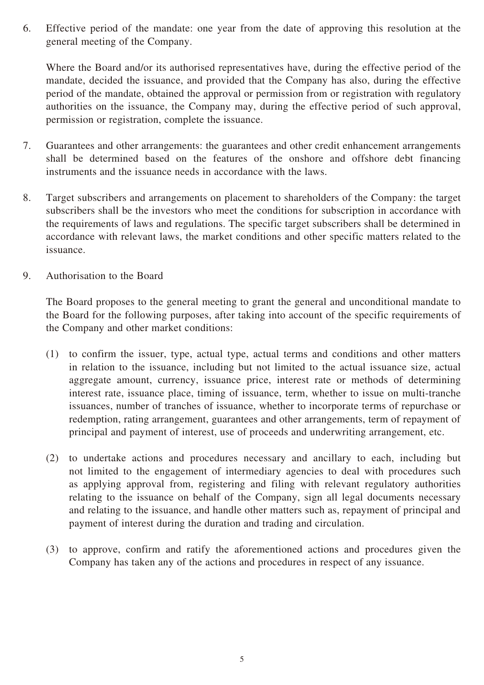6. Effective period of the mandate: one year from the date of approving this resolution at the general meeting of the Company.

Where the Board and/or its authorised representatives have, during the effective period of the mandate, decided the issuance, and provided that the Company has also, during the effective period of the mandate, obtained the approval or permission from or registration with regulatory authorities on the issuance, the Company may, during the effective period of such approval, permission or registration, complete the issuance.

- 7. Guarantees and other arrangements: the guarantees and other credit enhancement arrangements shall be determined based on the features of the onshore and offshore debt financing instruments and the issuance needs in accordance with the laws.
- 8. Target subscribers and arrangements on placement to shareholders of the Company: the target subscribers shall be the investors who meet the conditions for subscription in accordance with the requirements of laws and regulations. The specific target subscribers shall be determined in accordance with relevant laws, the market conditions and other specific matters related to the issuance.
- 9. Authorisation to the Board

The Board proposes to the general meeting to grant the general and unconditional mandate to the Board for the following purposes, after taking into account of the specific requirements of the Company and other market conditions:

- (1) to confirm the issuer, type, actual type, actual terms and conditions and other matters in relation to the issuance, including but not limited to the actual issuance size, actual aggregate amount, currency, issuance price, interest rate or methods of determining interest rate, issuance place, timing of issuance, term, whether to issue on multi-tranche issuances, number of tranches of issuance, whether to incorporate terms of repurchase or redemption, rating arrangement, guarantees and other arrangements, term of repayment of principal and payment of interest, use of proceeds and underwriting arrangement, etc.
- (2) to undertake actions and procedures necessary and ancillary to each, including but not limited to the engagement of intermediary agencies to deal with procedures such as applying approval from, registering and filing with relevant regulatory authorities relating to the issuance on behalf of the Company, sign all legal documents necessary and relating to the issuance, and handle other matters such as, repayment of principal and payment of interest during the duration and trading and circulation.
- (3) to approve, confirm and ratify the aforementioned actions and procedures given the Company has taken any of the actions and procedures in respect of any issuance.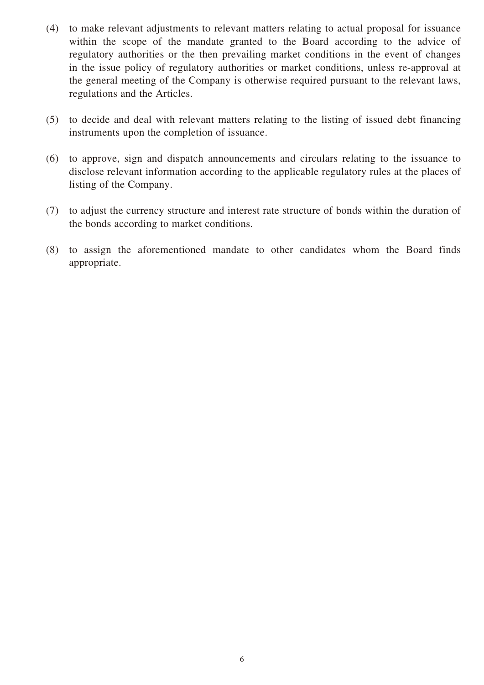- (4) to make relevant adjustments to relevant matters relating to actual proposal for issuance within the scope of the mandate granted to the Board according to the advice of regulatory authorities or the then prevailing market conditions in the event of changes in the issue policy of regulatory authorities or market conditions, unless re-approval at the general meeting of the Company is otherwise required pursuant to the relevant laws, regulations and the Articles.
- (5) to decide and deal with relevant matters relating to the listing of issued debt financing instruments upon the completion of issuance.
- (6) to approve, sign and dispatch announcements and circulars relating to the issuance to disclose relevant information according to the applicable regulatory rules at the places of listing of the Company.
- (7) to adjust the currency structure and interest rate structure of bonds within the duration of the bonds according to market conditions.
- (8) to assign the aforementioned mandate to other candidates whom the Board finds appropriate.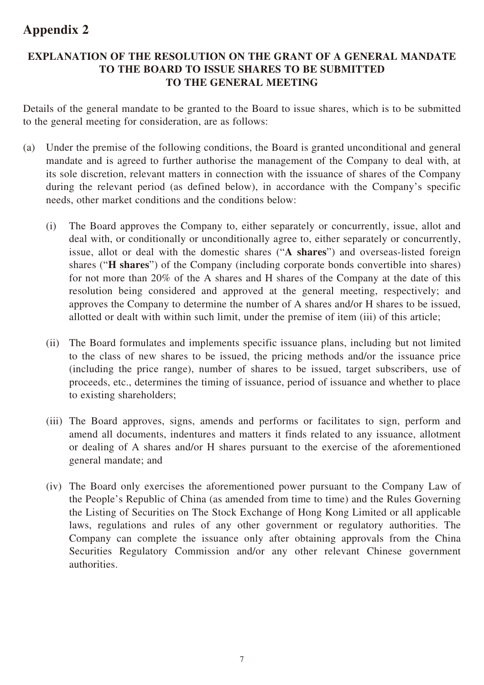## **Appendix 2**

#### **EXPLANATION OF THE RESOLUTION ON THE GRANT OF A GENERAL MANDATE TO THE BOARD TO ISSUE SHARES TO BE SUBMITTED TO THE GENERAL MEETING**

Details of the general mandate to be granted to the Board to issue shares, which is to be submitted to the general meeting for consideration, are as follows:

- (a) Under the premise of the following conditions, the Board is granted unconditional and general mandate and is agreed to further authorise the management of the Company to deal with, at its sole discretion, relevant matters in connection with the issuance of shares of the Company during the relevant period (as defined below), in accordance with the Company's specific needs, other market conditions and the conditions below:
	- (i) The Board approves the Company to, either separately or concurrently, issue, allot and deal with, or conditionally or unconditionally agree to, either separately or concurrently, issue, allot or deal with the domestic shares ("**A shares**") and overseas-listed foreign shares ("**H shares**") of the Company (including corporate bonds convertible into shares) for not more than 20% of the A shares and H shares of the Company at the date of this resolution being considered and approved at the general meeting, respectively; and approves the Company to determine the number of A shares and/or H shares to be issued, allotted or dealt with within such limit, under the premise of item (iii) of this article;
	- (ii) The Board formulates and implements specific issuance plans, including but not limited to the class of new shares to be issued, the pricing methods and/or the issuance price (including the price range), number of shares to be issued, target subscribers, use of proceeds, etc., determines the timing of issuance, period of issuance and whether to place to existing shareholders;
	- (iii) The Board approves, signs, amends and performs or facilitates to sign, perform and amend all documents, indentures and matters it finds related to any issuance, allotment or dealing of A shares and/or H shares pursuant to the exercise of the aforementioned general mandate; and
	- (iv) The Board only exercises the aforementioned power pursuant to the Company Law of the People's Republic of China (as amended from time to time) and the Rules Governing the Listing of Securities on The Stock Exchange of Hong Kong Limited or all applicable laws, regulations and rules of any other government or regulatory authorities. The Company can complete the issuance only after obtaining approvals from the China Securities Regulatory Commission and/or any other relevant Chinese government authorities.